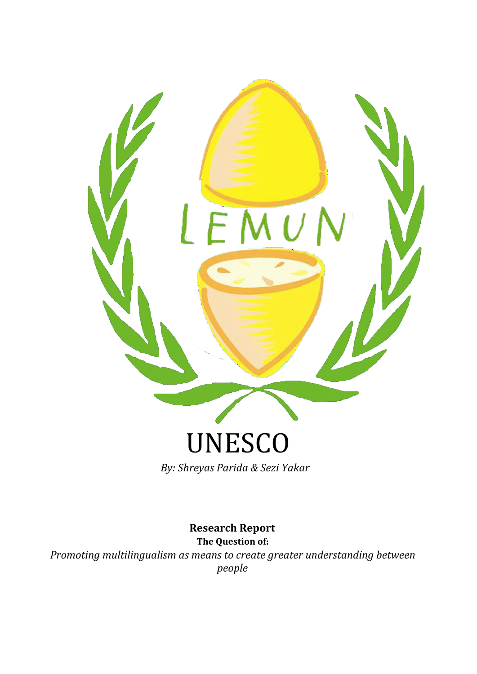

*By: Shreyas Parida & Sezi Yakar*

**Research Report The Question of:**

*Promoting multilingualism as means to create greater understanding between people*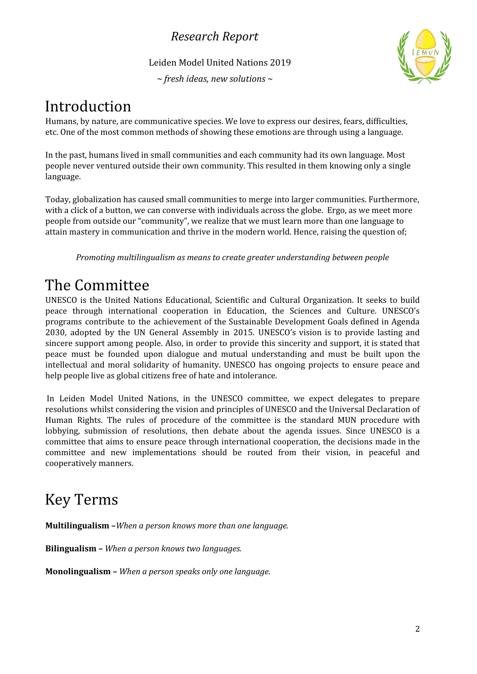Leiden Model United Nations 2019

*~ fresh ideas, new solutions ~*



# Introduction

Humans, by nature, are communicative species. We love to express our desires, fears, difficulties, etc. One of the most common methods of showing these emotions are through using a language.

In the past, humans lived in small communities and each community had its own language. Most people never ventured outside their own community. This resulted in them knowing only a single language.

Today, globalization has caused small communities to merge into larger communities. Furthermore, with a click of a button, we can converse with individuals across the globe. Ergo, as we meet more people from outside our "community", we realize that we must learn more than one language to attain mastery in communication and thrive in the modern world. Hence, raising the question of;

*Promoting multilingualism as means to create greater understanding between people*

# The Committee

UNESCO is the United Nations Educational, Scientific and Cultural Organization. It seeks to build peace through international cooperation in Education, the Sciences and Culture. UNESCO's programs contribute to the achievement of the Sustainable Development Goals defined in Agenda 2030, adopted by the UN General Assembly in 2015. UNESCO's vision is to provide lasting and sincere support among people. Also, in order to provide this sincerity and support, it is stated that peace must be founded upon dialogue and mutual understanding and must be built upon the intellectual and moral solidarity of humanity. UNESCO has ongoing projects to ensure peace and help people live as global citizens free of hate and intolerance.

In Leiden Model United Nations, in the UNESCO committee, we expect delegates to prepare resolutions whilst considering the vision and principles of UNESCO and the Universal Declaration of Human Rights. The rules of procedure of the committee is the standard MUN procedure with lobbying, submission of resolutions, then debate about the agenda issues. Since UNESCO is a committee that aims to ensure peace through international cooperation, the decisions made in the committee and new implementations should be routed from their vision, in peaceful and cooperatively manners.

# Key Terms

**Multilingualism –***When a person knows more than one language.*

**Bilingualism –** *When a person knows two languages.*

**Monolingualism –** *When a person speaks only one language.*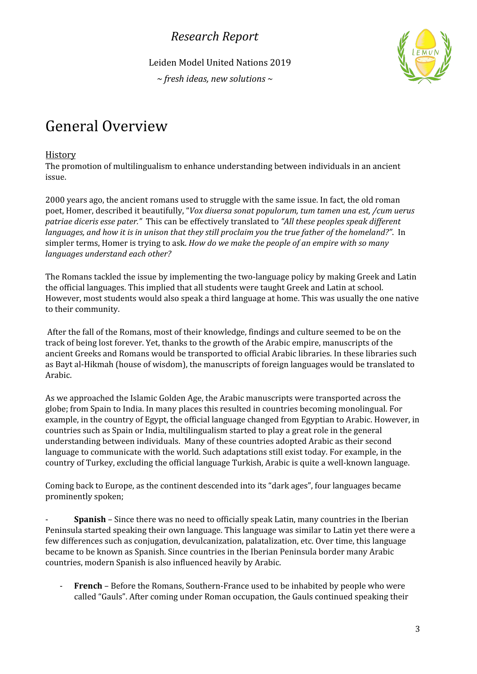Leiden Model United Nations 2019

*~ fresh ideas, new solutions ~*



# General Overview

#### **History**

The promotion of multilingualism to enhance understanding between individuals in an ancient issue.

2000 years ago, the ancient romans used to struggle with the same issue. In fact, the old roman poet, Homer, described it beautifully, "*Vox diuersa sonat populorum, tum tamen una est, /cum uerus patriae diceris esse pater."* This can be effectively translated to *"All these peoples speak dif erent* languages, and how it is in unison that they still proclaim you the true father of the homeland?". In simpler terms, Homer is trying to ask. *How do we make the people of an empire with so many languages understand each other?*

The Romans tackled the issue by implementing the two-language policy by making Greek and Latin the official languages. This implied that all students were taught Greek and Latin at school. However, most students would also speak a third language at home. This was usually the one native to their community.

After the fall of the Romans, most of their knowledge, findings and culture seemed to be on the track of being lost forever. Yet, thanks to the growth of the Arabic empire, manuscripts of the ancient Greeks and Romans would be transported to official Arabic libraries. In these libraries such as Bayt al-Hikmah (house of wisdom), the manuscripts of foreign languages would be translated to Arabic.

As we approached the Islamic Golden Age, the Arabic manuscripts were transported across the globe; from Spain to India. In many places this resulted in countries becoming monolingual. For example, in the country of Egypt, the official language changed from Egyptian to Arabic. However, in countries such as Spain or India, multilingualism started to play a great role in the general understanding between individuals. Many of these countries adopted Arabic as their second language to communicate with the world. Such adaptations still exist today. For example, in the country of Turkey, excluding the official language Turkish, Arabic is quite a well-known language.

Coming back to Europe, as the continent descended into its "dark ages", four languages became prominently spoken;

- **Spanish** – Since there was no need to officially speak Latin, many countries in the Iberian Peninsula started speaking their own language. This language was similar to Latin yet there were a few differences such as conjugation, devulcanization, palatalization, etc. Over time, this language became to be known as Spanish. Since countries in the Iberian Peninsula border many Arabic countries, modern Spanish is also influenced heavily by Arabic.

- **French** – Before the Romans, Southern-France used to be inhabited by people who were called "Gauls". After coming under Roman occupation, the Gauls continued speaking their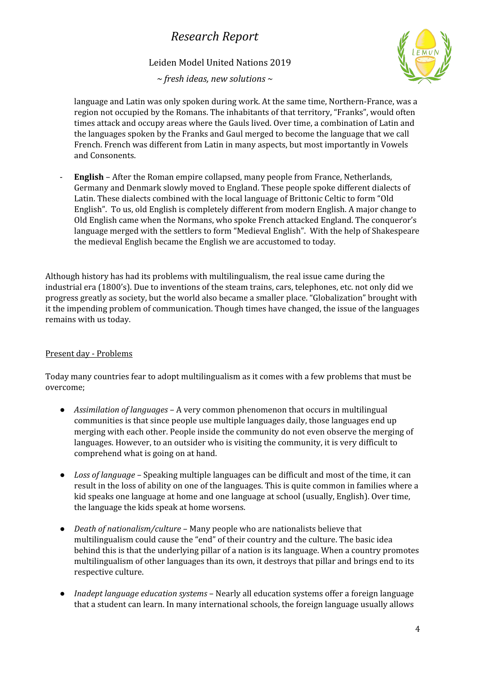Leiden Model United Nations 2019

*~ fresh ideas, new solutions ~*



language and Latin was only spoken during work. At the same time, Northern-France, was a region not occupied by the Romans. The inhabitants of that territory, "Franks", would often times attack and occupy areas where the Gauls lived. Over time, a combination of Latin and the languages spoken by the Franks and Gaul merged to become the language that we call French. French was different from Latin in many aspects, but most importantly in Vowels and Consonents.

- **English** – After the Roman empire collapsed, many people from France, Netherlands, Germany and Denmark slowly moved to England. These people spoke different dialects of Latin. These dialects combined with the local language of Brittonic Celtic to form "Old English". To us, old English is completely different from modern English. A major change to Old English came when the Normans, who spoke French attacked England. The conqueror's language merged with the settlers to form "Medieval English". With the help of Shakespeare the medieval English became the English we are accustomed to today.

Although history has had its problems with multilingualism, the real issue came during the industrial era (1800's). Due to inventions of the steam trains, cars, telephones, etc. not only did we progress greatly as society, but the world also became a smaller place. "Globalization" brought with it the impending problem of communication. Though times have changed, the issue of the languages remains with us today.

#### Present day - Problems

Today many countries fear to adopt multilingualism as it comes with a few problems that must be overcome;

- *Assimilation of languages* A very common phenomenon that occurs in multilingual communities is that since people use multiple languages daily, those languages end up merging with each other. People inside the community do not even observe the merging of languages. However, to an outsider who is visiting the community, it is very difficult to comprehend what is going on at hand.
- *Loss of language –* Speaking multiple languages can be difficult and most of the time, it can result in the loss of ability on one of the languages. This is quite common in families where a kid speaks one language at home and one language at school (usually, English). Over time, the language the kids speak at home worsens.
- *Death of nationalism/culture –* Many people who are nationalists believe that multilingualism could cause the "end" of their country and the culture. The basic idea behind this is that the underlying pillar of a nation is its language. When a country promotes multilingualism of other languages than its own, it destroys that pillar and brings end to its respective culture.
- *Inadept language education systems* Nearly all education systems offer a foreign language that a student can learn. In many international schools, the foreign language usually allows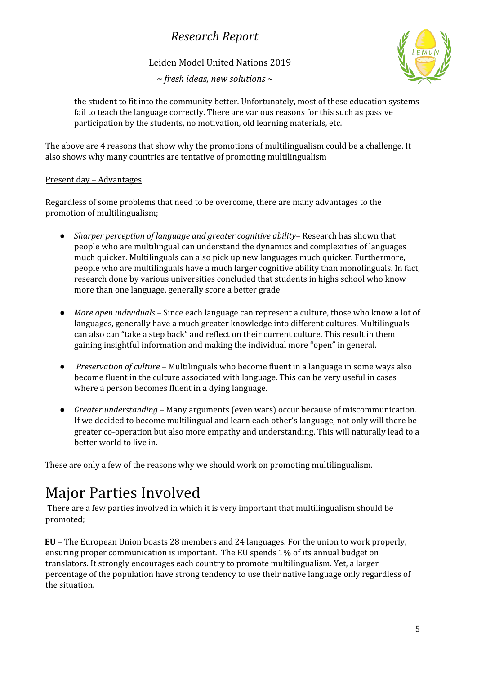Leiden Model United Nations 2019

*~ fresh ideas, new solutions ~*



the student to fit into the community better. Unfortunately, most of these education systems fail to teach the language correctly. There are various reasons for this such as passive participation by the students, no motivation, old learning materials, etc.

The above are 4 reasons that show why the promotions of multilingualism could be a challenge. It also shows why many countries are tentative of promoting multilingualism

#### Present day – Advantages

Regardless of some problems that need to be overcome, there are many advantages to the promotion of multilingualism;

- *Sharper perception of language and greater cognitive ability* Research has shown that people who are multilingual can understand the dynamics and complexities of languages much quicker. Multilinguals can also pick up new languages much quicker. Furthermore, people who are multilinguals have a much larger cognitive ability than monolinguals. In fact, research done by various universities concluded that students in highs school who know more than one language, generally score a better grade.
- *More open individuals –* Since each language can represent a culture, those who know a lot of languages, generally have a much greater knowledge into different cultures. Multilinguals can also can "take a step back" and reflect on their current culture. This result in them gaining insightful information and making the individual more "open" in general.
- *Preservation of culture* Multilinguals who become fluent in a language in some ways also become fluent in the culture associated with language. This can be very useful in cases where a person becomes fluent in a dying language.
- *Greater understanding* Many arguments (even wars) occur because of miscommunication. If we decided to become multilingual and learn each other's language, not only will there be greater co-operation but also more empathy and understanding. This will naturally lead to a better world to live in.

These are only a few of the reasons why we should work on promoting multilingualism.

# Major Parties Involved

There are a few parties involved in which it is very important that multilingualism should be promoted;

**EU** – The European Union boasts 28 members and 24 languages. For the union to work properly, ensuring proper communication is important. The EU spends 1% of its annual budget on translators. It strongly encourages each country to promote multilingualism. Yet, a larger percentage of the population have strong tendency to use their native language only regardless of the situation.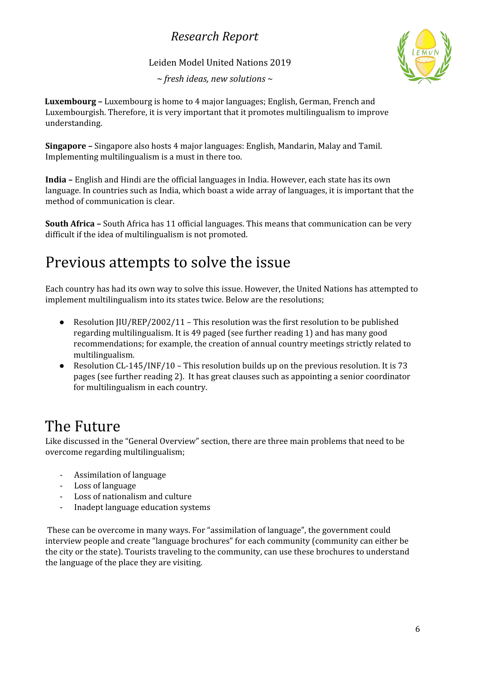Leiden Model United Nations 2019

*~ fresh ideas, new solutions ~*



**Luxembourg –** Luxembourg is home to 4 major languages; English, German, French and Luxembourgish. Therefore, it is very important that it promotes multilingualism to improve understanding.

**Singapore –** Singapore also hosts 4 major languages: English, Mandarin, Malay and Tamil. Implementing multilingualism is a must in there too.

**India –** English and Hindi are the official languages in India. However, each state has its own language. In countries such as India, which boast a wide array of languages, it is important that the method of communication is clear.

**South Africa –** South Africa has 11 official languages. This means that communication can be very difficult if the idea of multilingualism is not promoted.

# Previous attempts to solve the issue

Each country has had its own way to solve this issue. However, the United Nations has attempted to implement multilingualism into its states twice. Below are the resolutions;

- Resolution JIU/REP/2002/11 This resolution was the first resolution to be published regarding multilingualism. It is 49 paged (see further reading 1) and has many good recommendations; for example, the creation of annual country meetings strictly related to multilingualism.
- Resolution CL-145/INF/10 This resolution builds up on the previous resolution. It is 73 pages (see further reading 2). It has great clauses such as appointing a senior coordinator for multilingualism in each country.

# The Future

Like discussed in the "General Overview" section, there are three main problems that need to be overcome regarding multilingualism;

- Assimilation of language
- Loss of language
- Loss of nationalism and culture
- Inadept language education systems

These can be overcome in many ways. For "assimilation of language", the government could interview people and create "language brochures" for each community (community can either be the city or the state). Tourists traveling to the community, can use these brochures to understand the language of the place they are visiting.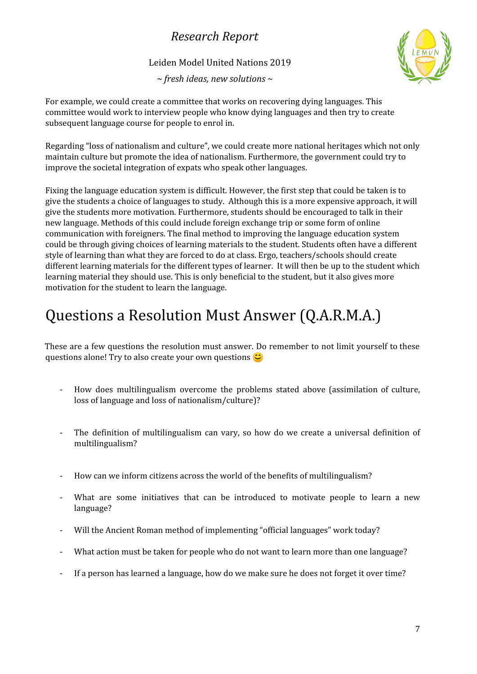Leiden Model United Nations 2019

*~ fresh ideas, new solutions ~*



For example, we could create a committee that works on recovering dying languages. This committee would work to interview people who know dying languages and then try to create subsequent language course for people to enrol in.

Regarding "loss of nationalism and culture", we could create more national heritages which not only maintain culture but promote the idea of nationalism. Furthermore, the government could try to improve the societal integration of expats who speak other languages.

Fixing the language education system is difficult. However, the first step that could be taken is to give the students a choice of languages to study. Although this is a more expensive approach, it will give the students more motivation. Furthermore, students should be encouraged to talk in their new language. Methods of this could include foreign exchange trip or some form of online communication with foreigners. The final method to improving the language education system could be through giving choices of learning materials to the student. Students often have a different style of learning than what they are forced to do at class. Ergo, teachers/schools should create different learning materials for the different types of learner. It will then be up to the student which learning material they should use. This is only beneficial to the student, but it also gives more motivation for the student to learn the language.

# Questions a Resolution Must Answer (Q.A.R.M.A.)

These are a few questions the resolution must answer. Do remember to not limit yourself to these questions alone! Try to also create your own questions  $\heartsuit$ 

- How does multilingualism overcome the problems stated above (assimilation of culture, loss of language and loss of nationalism/culture)?
- The definition of multilingualism can vary, so how do we create a universal definition of multilingualism?
- How can we inform citizens across the world of the benefits of multilingualism?
- What are some initiatives that can be introduced to motivate people to learn a new language?
- Will the Ancient Roman method of implementing "official languages" work today?
- What action must be taken for people who do not want to learn more than one language?
- If a person has learned a language, how do we make sure he does not forget it over time?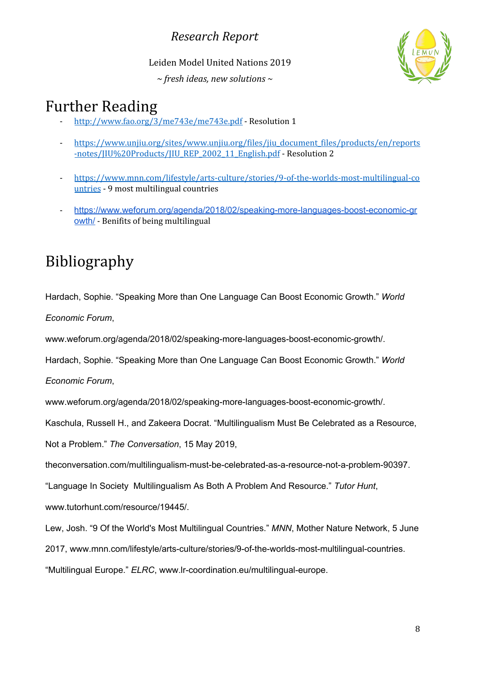Leiden Model United Nations 2019

*~ fresh ideas, new solutions ~*



## Further Reading

- <http://www.fao.org/3/me743e/me743e.pdf> Resolution 1
- [https://www.unjiu.org/sites/www.unjiu.org/files/jiu\\_document\\_files/products/en/reports](https://www.unjiu.org/sites/www.unjiu.org/files/jiu_document_files/products/en/reports-notes/JIU%20Products/JIU_REP_2002_11_English.pdf) [-notes/JIU%20Products/JIU\\_REP\\_2002\\_11\\_English.pdf](https://www.unjiu.org/sites/www.unjiu.org/files/jiu_document_files/products/en/reports-notes/JIU%20Products/JIU_REP_2002_11_English.pdf) - Resolution 2
- [https://www.mnn.com/lifestyle/arts-culture/stories/9-of-the-worlds-most-multilingual-co](https://www.mnn.com/lifestyle/arts-culture/stories/9-of-the-worlds-most-multilingual-countries) [untries](https://www.mnn.com/lifestyle/arts-culture/stories/9-of-the-worlds-most-multilingual-countries) - 9 most multilingual countries
- [https://www.weforum.org/agenda/2018/02/speaking-more-languages-boost-economic-gr](https://www.weforum.org/agenda/2018/02/speaking-more-languages-boost-economic-growth/) [owth/](https://www.weforum.org/agenda/2018/02/speaking-more-languages-boost-economic-growth/) - Benifits of being multilingual

# Bibliography

Hardach, Sophie. "Speaking More than One Language Can Boost Economic Growth." *World*

*Economic Forum*,

www.weforum.org/agenda/2018/02/speaking-more-languages-boost-economic-growth/.

Hardach, Sophie. "Speaking More than One Language Can Boost Economic Growth." *World*

*Economic Forum*,

www.weforum.org/agenda/2018/02/speaking-more-languages-boost-economic-growth/.

Kaschula, Russell H., and Zakeera Docrat. "Multilingualism Must Be Celebrated as a Resource,

Not a Problem." *The Conversation*, 15 May 2019,

theconversation.com/multilingualism-must-be-celebrated-as-a-resource-not-a-problem-90397.

"Language In Society Multilingualism As Both A Problem And Resource." *Tutor Hunt*,

www.tutorhunt.com/resource/19445/.

Lew, Josh. "9 Of the World's Most Multilingual Countries." *MNN*, Mother Nature Network, 5 June

2017, www.mnn.com/lifestyle/arts-culture/stories/9-of-the-worlds-most-multilingual-countries.

"Multilingual Europe." *ELRC*, www.lr-coordination.eu/multilingual-europe.